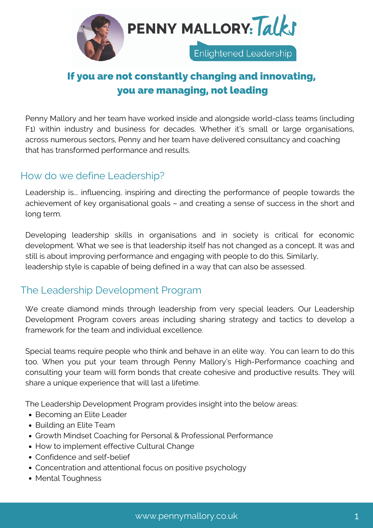

# If you are not constantly changing and innovating, you are managing, not leading

Penny Mallory and her team have worked inside and alongside world-class teams (including F1) within industry and business for decades. Whether it's small or large organisations, across numerous sectors, Penny and her team have delivered consultancy and coaching that has transformed performance and results.

## How do we define Leadership?

Leadership is... influencing, inspiring and directing the performance of people towards the achievement of key organisational goals – and creating a sense of success in the short and long term.

Developing leadership skills in organisations and in society is critical for economic development. What we see is that leadership itself has not changed as a concept. It was and still is about improving performance and engaging with people to do this. Similarly, leadership style is capable of being defined in a way that can also be assessed.

# The Leadership Development Program

We create diamond minds through leadership from very special leaders. Our Leadership Development Program covers areas including sharing strategy and tactics to develop a framework for the team and individual excellence.

Special teams require people who think and behave in an elite way. You can learn to do this too. When you put your team through Penny Mallory's High-Performance coaching and consulting your team will form bonds that create cohesive and productive results. They will share a unique experience that will last a lifetime.

The Leadership Development Program provides insight into the below areas:

- Becoming an Elite Leader
- Building an Elite Team
- Growth Mindset Coaching for Personal & Professional Performance
- How to implement effective Cultural Change
- Confidence and self-belief
- Concentration and attentional focus on positive psychology
- Mental Toughness